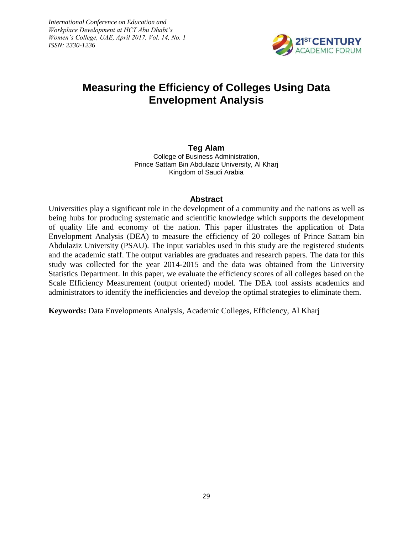*International Conference on Education and Workplace Development at HCT Abu Dhabi's Women's College, UAE, April 2017, Vol. 14, No. 1 ISSN: 2330-1236*



# **Measuring the Efficiency of Colleges Using Data Envelopment Analysis**

**Teg Alam** College of Business Administration, Prince Sattam Bin Abdulaziz University, Al Kharj Kingdom of Saudi Arabia

### **Abstract**

Universities play a significant role in the development of a community and the nations as well as being hubs for producing systematic and scientific knowledge which supports the development of quality life and economy of the nation. This paper illustrates the application of Data Envelopment Analysis (DEA) to measure the efficiency of 20 colleges of Prince Sattam bin Abdulaziz University (PSAU). The input variables used in this study are the registered students and the academic staff. The output variables are graduates and research papers. The data for this study was collected for the year 2014-2015 and the data was obtained from the University Statistics Department. In this paper, we evaluate the efficiency scores of all colleges based on the Scale Efficiency Measurement (output oriented) model. The DEA tool assists academics and administrators to identify the inefficiencies and develop the optimal strategies to eliminate them.

**Keywords:** Data Envelopments Analysis, Academic Colleges, Efficiency, Al Kharj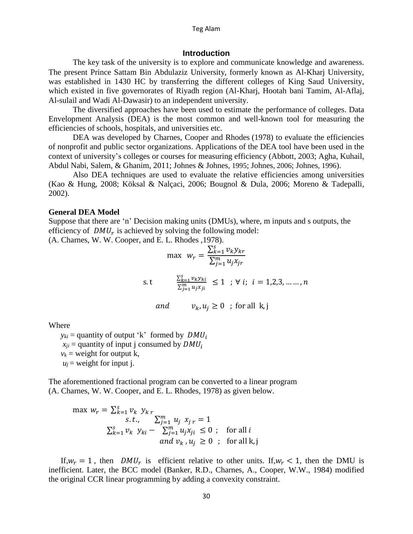#### Teg Alam

#### **Introduction**

The key task of the university is to explore and communicate knowledge and awareness. The present Prince Sattam Bin Abdulaziz University, formerly known as Al-Kharj University, was established in 1430 HC by transferring the different colleges of King Saud University, which existed in five governorates of Riyadh region (Al-Kharj, Hootah bani Tamim, Al-Aflaj, Al-sulail and Wadi Al-Dawasir) to an independent university.

The diversified approaches have been used to estimate the performance of colleges. Data Envelopment Analysis (DEA) is the most common and well-known tool for measuring the efficiencies of schools, hospitals, and universities etc.

DEA was developed by Charnes, Cooper and Rhodes (1978) to evaluate the efficiencies of nonprofit and public sector organizations. Applications of the DEA tool have been used in the context of university's colleges or courses for measuring efficiency (Abbott, 2003; Agha, Kuhail, Abdul Nabi, Salem, & Ghanim, 2011; Johnes & Johnes, 1995; Johnes, 2006; Johnes, 1996).

Also DEA techniques are used to evaluate the relative efficiencies among universities (Kao & Hung, 2008; Köksal & Nalçaci, 2006; Bougnol & Dula, 2006; Moreno & Tadepalli, 2002).

#### **General DEA Model**

Suppose that there are 'n' Decision making units (DMUs), where, m inputs and s outputs, the efficiency of  $DMU_r$  is achieved by solving the following model: (A. Charnes, W. W. Cooper, and E. L. Rhodes ,1978).

$$
\max \ w_r = \frac{\sum_{k=1}^{S} v_k y_{kr}}{\sum_{j=1}^{m} u_j x_{jr}}
$$
\ns.t\n
$$
\frac{\sum_{k=1}^{S} v_k y_{ki}}{\sum_{j=1}^{m} u_j x_{ji}} \le 1 \quad ; \forall i; i = 1, 2, 3, \dots, n
$$
\nand\n
$$
v_k, u_j \ge 0 \quad ; \text{ for all } k, j
$$

Where

 $y_{ki}$  = quantity of output 'k' formed by  $DMU_i$  $x_{ii}$  = quantity of input j consumed by  $DMU_i$  $v_k$  = weight for output k,  $u_i$  = weight for input j.

The aforementioned fractional program can be converted to a linear program (A. Charnes, W. W. Cooper, and E. L. Rhodes, 1978) as given below.

$$
\max w_r = \sum_{k=1}^s v_k y_k \sum_{j=1}^m u_j x_j = 1
$$
  

$$
\sum_{k=1}^s v_k y_{ki} - \sum_{j=1}^m u_j x_{ji} \le 0 ; \text{ for all } i
$$
  
and  $v_k, u_j \ge 0 ; \text{ for all } k, j$ 

If,  $w_r = 1$ , then  $DMU_r$  is efficient relative to other units. If,  $w_r < 1$ , then the DMU is inefficient. Later, the BCC model (Banker, R.D., Charnes, A., Cooper, W.W., 1984) modified the original CCR linear programming by adding a convexity constraint.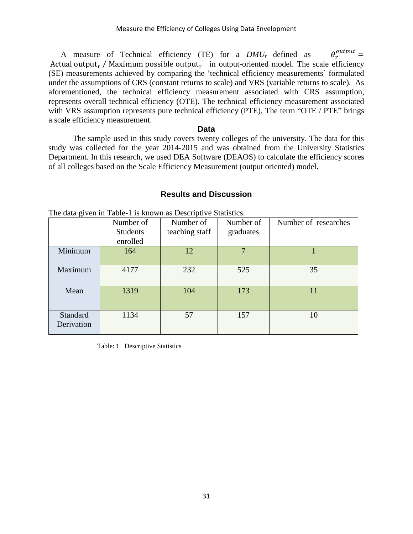A measure of Technical efficiency (TE) for a *DMU<sup>r</sup>* defined as  $\theta_r^{output} =$ Actual output<sub>r</sub> / Maximum possible output<sub>r</sub> in output-oriented model. The scale efficiency (SE) measurements achieved by comparing the 'technical efficiency measurements' formulated under the assumptions of CRS (constant returns to scale) and VRS (variable returns to scale). As aforementioned, the technical efficiency measurement associated with CRS assumption, represents overall technical efficiency (OTE). The technical efficiency measurement associated with VRS assumption represents pure technical efficiency (PTE). The term "OTE / PTE" brings a scale efficiency measurement.

#### **Data**

The sample used in this study covers twenty colleges of the university. The data for this study was collected for the year 2014-2015 and was obtained from the University Statistics Department. In this research, we used DEA Software (DEAOS) to calculate the efficiency scores of all colleges based on the Scale Efficiency Measurement (output oriented) model**.**

### **Results and Discussion**

The data given in Table-1 is known as Descriptive Statistics.

|                        | Number of<br><b>Students</b><br>enrolled | Number of<br>teaching staff | Number of<br>graduates | Number of researches |
|------------------------|------------------------------------------|-----------------------------|------------------------|----------------------|
| Minimum                | 164                                      | 12                          |                        |                      |
| Maximum                | 4177                                     | 232                         | 525                    | 35                   |
| Mean                   | 1319                                     | 104                         | 173                    | 11                   |
| Standard<br>Derivation | 1134                                     | 57                          | 157                    | 10                   |

Table: 1 Descriptive Statistics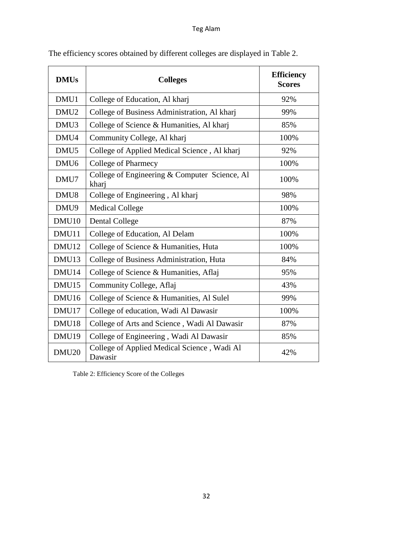## Teg Alam

| <b>DMUs</b>       | <b>Colleges</b>                                        | <b>Efficiency</b><br><b>Scores</b> |
|-------------------|--------------------------------------------------------|------------------------------------|
| DMU1              | College of Education, Al kharj                         | 92%                                |
| DMU <sub>2</sub>  | College of Business Administration, Al kharj           | 99%                                |
| DMU <sub>3</sub>  | College of Science & Humanities, Al kharj              | 85%                                |
| DMU4              | Community College, Al kharj                            | 100%                               |
| DMU <sub>5</sub>  | College of Applied Medical Science, Al kharj           | 92%                                |
| DMU <sub>6</sub>  | College of Pharmecy                                    | 100%                               |
| DMU7              | College of Engineering & Computer Science, Al<br>kharj | 100%                               |
| DMU8              | College of Engineering, Al kharj                       | 98%                                |
| DMU9              | <b>Medical College</b>                                 | 100%                               |
| DMU <sub>10</sub> | <b>Dental College</b>                                  | 87%                                |
| DMU11             | College of Education, Al Delam                         | 100%                               |
| DMU12             | College of Science & Humanities, Huta                  | 100%                               |
| DMU13             | College of Business Administration, Huta               | 84%                                |
| DMU14             | College of Science & Humanities, Aflaj                 | 95%                                |
| DMU15             | Community College, Aflaj                               | 43%                                |
| DMU16             | College of Science & Humanities, Al Sulel              | 99%                                |
| DMU17             | College of education, Wadi Al Dawasir                  | 100%                               |
| DMU18             | College of Arts and Science, Wadi Al Dawasir           | 87%                                |
| DMU19             | College of Engineering, Wadi Al Dawasir                | 85%                                |
| DMU <sub>20</sub> | College of Applied Medical Science, Wadi Al<br>Dawasir | 42%                                |

The efficiency scores obtained by different colleges are displayed in Table 2.

Table 2: Efficiency Score of the Colleges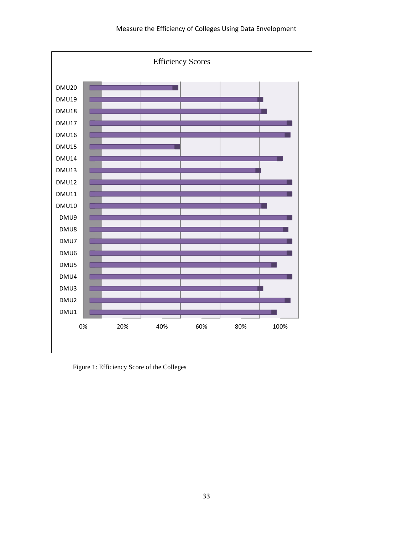

Figure 1: Efficiency Score of the Colleges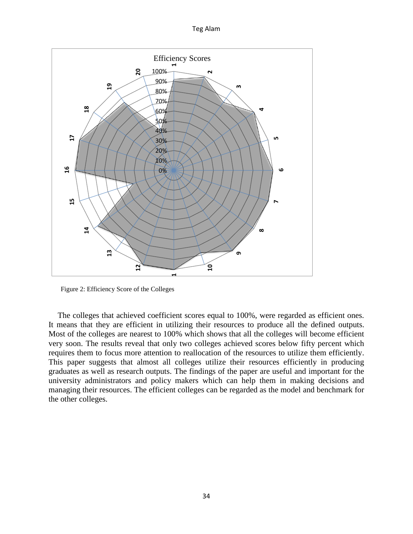Teg Alam



Figure 2: Efficiency Score of the Colleges

The colleges that achieved coefficient scores equal to 100%, were regarded as efficient ones. It means that they are efficient in utilizing their resources to produce all the defined outputs. Most of the colleges are nearest to 100% which shows that all the colleges will become efficient very soon. The results reveal that only two colleges achieved scores below fifty percent which requires them to focus more attention to reallocation of the resources to utilize them efficiently. This paper suggests that almost all colleges utilize their resources efficiently in producing graduates as well as research outputs. The findings of the paper are useful and important for the university administrators and policy makers which can help them in making decisions and managing their resources. The efficient colleges can be regarded as the model and benchmark for the other colleges.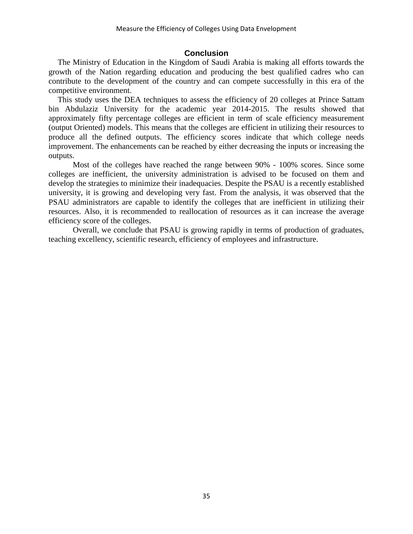### **Conclusion**

The Ministry of Education in the Kingdom of Saudi Arabia is making all efforts towards the growth of the Nation regarding education and producing the best qualified cadres who can contribute to the development of the country and can compete successfully in this era of the competitive environment.

This study uses the DEA techniques to assess the efficiency of 20 colleges at Prince Sattam bin Abdulaziz University for the academic year 2014-2015. The results showed that approximately fifty percentage colleges are efficient in term of scale efficiency measurement (output Oriented) models. This means that the colleges are efficient in utilizing their resources to produce all the defined outputs. The efficiency scores indicate that which college needs improvement. The enhancements can be reached by either decreasing the inputs or increasing the outputs.

Most of the colleges have reached the range between 90% - 100% scores. Since some colleges are inefficient, the university administration is advised to be focused on them and develop the strategies to minimize their inadequacies. Despite the PSAU is a recently established university, it is growing and developing very fast. From the analysis, it was observed that the PSAU administrators are capable to identify the colleges that are inefficient in utilizing their resources. Also, it is recommended to reallocation of resources as it can increase the average efficiency score of the colleges.

Overall, we conclude that PSAU is growing rapidly in terms of production of graduates, teaching excellency, scientific research, efficiency of employees and infrastructure.